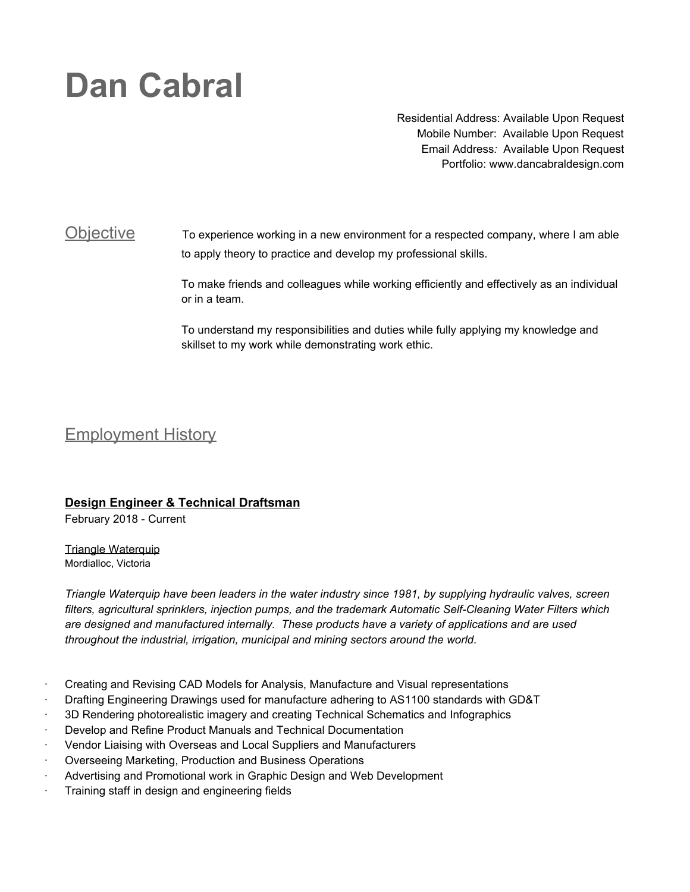# **Dan Cabral**

Residential Address: Available Upon Request Mobile Number: Available Upon Request Email Address*:* Available Upon Request Portfolio: [www.dancabraldesign.com](http://www.dancabraldesign.com/)

## Objective To experience working in a new environment for a respected company, where I am able to apply theory to practice and develop my professional skills.

To make friends and colleagues while working efficiently and effectively as an individual or in a team.

To understand my responsibilities and duties while fully applying my knowledge and skillset to my work while demonstrating work ethic.

# Employment History

### **Design Engineer & Technical Draftsman**

February 2018 - Current

**Triangle Waterquip** Mordialloc, Victoria

*Triangle Waterquip have been leaders in the water industry since 1981, by supplying hydraulic valves, screen filters, agricultural sprinklers, injection pumps, and the trademark Automatic Self-Cleaning Water Filters which are designed and manufactured internally. These products have a variety of applications and are used throughout the industrial, irrigation, municipal and mining sectors around the world.*

- · Creating and Revising CAD Models for Analysis, Manufacture and Visual representations
- · Drafting Engineering Drawings used for manufacture adhering to AS1100 standards with GD&T
- · 3D Rendering photorealistic imagery and creating Technical Schematics and Infographics
- · Develop and Refine Product Manuals and Technical Documentation
- · Vendor Liaising with Overseas and Local Suppliers and Manufacturers
- · Overseeing Marketing, Production and Business Operations
- Advertising and Promotional work in Graphic Design and Web Development
- Training staff in design and engineering fields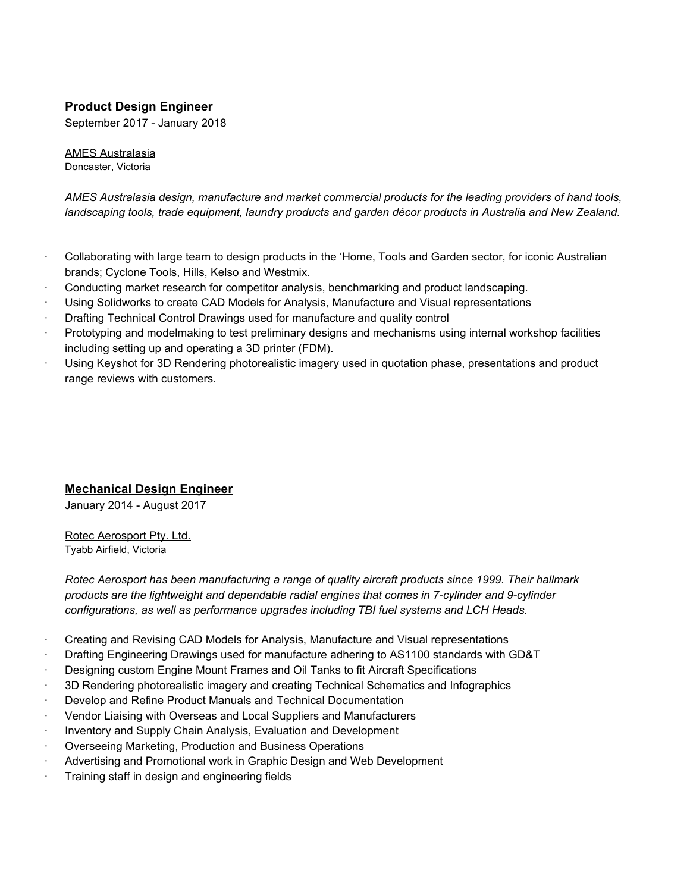### **Product Design Engineer**

September 2017 - January 2018

# AMES Australasia

Doncaster, Victoria

*AMES Australasia design, manufacture and market commercial products for the leading providers of hand tools, landscaping tools, trade equipment, laundry products and garden décor products in Australia and New Zealand.*

- · Collaborating with large team to design products in the 'Home, Tools and Garden sector, for iconic Australian brands; Cyclone Tools, Hills, Kelso and Westmix.
- · Conducting market research for competitor analysis, benchmarking and product landscaping.
- Using Solidworks to create CAD Models for Analysis, Manufacture and Visual representations
- · Drafting Technical Control Drawings used for manufacture and quality control
- Prototyping and modelmaking to test preliminary designs and mechanisms using internal workshop facilities including setting up and operating a 3D printer (FDM).
- Using Keyshot for 3D Rendering photorealistic imagery used in quotation phase, presentations and product range reviews with customers.

### **Mechanical Design Engineer**

January 2014 - August 2017

Rotec Aerosport Pty. Ltd. Tyabb Airfield, Victoria

*Rotec Aerosport has been manufacturing a range of quality aircraft products since 1999. Their hallmark products are the lightweight and dependable radial engines that comes in 7-cylinder and 9-cylinder configurations, as well as performance upgrades including TBI fuel systems and LCH Heads.*

- · Creating and Revising CAD Models for Analysis, Manufacture and Visual representations
- · Drafting Engineering Drawings used for manufacture adhering to AS1100 standards with GD&T
- · Designing custom Engine Mount Frames and Oil Tanks to fit Aircraft Specifications
- · 3D Rendering photorealistic imagery and creating Technical Schematics and Infographics
- · Develop and Refine Product Manuals and Technical Documentation
- · Vendor Liaising with Overseas and Local Suppliers and Manufacturers
- · Inventory and Supply Chain Analysis, Evaluation and Development
- · Overseeing Marketing, Production and Business Operations
- · Advertising and Promotional work in Graphic Design and Web Development
- Training staff in design and engineering fields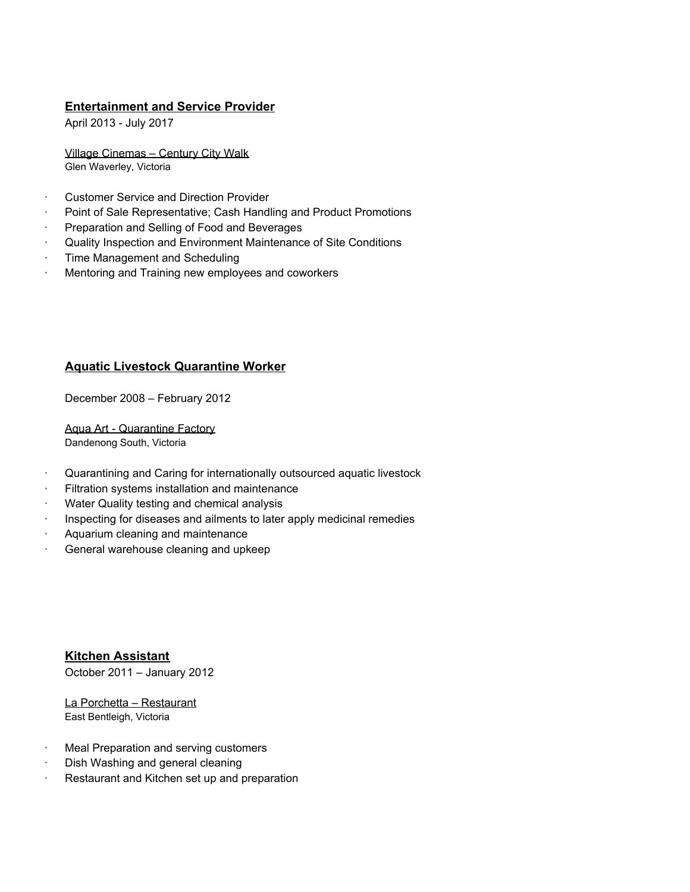### **Entertainment and Service Provider**

April 2013 - July 2017

Village Cinemas – Century City Walk Glen Waverley, Victoria

- · Customer Service and Direction Provider
- Point of Sale Representative; Cash Handling and Product Promotions
- Preparation and Selling of Food and Beverages
- · Quality Inspection and Environment Maintenance of Site Conditions
- · Time Management and Scheduling
- Mentoring and Training new employees and coworkers

### **Aquatic Livestock Quarantine Worker**

December 2008 – February 2012

Aqua Art - Quarantine Factory Dandenong South, Victoria

- · Quarantining and Caring for internationally outsourced aquatic livestock
- Filtration systems installation and maintenance
- Water Quality testing and chemical analysis
- Inspecting for diseases and ailments to later apply medicinal remedies
- Aquarium cleaning and maintenance
- · General warehouse cleaning and upkeep

**Kitchen Assistant** October 2011 – January 2012

La Porchetta – Restaurant East Bentleigh, Victoria

- Meal Preparation and serving customers
- Dish Washing and general cleaning
- Restaurant and Kitchen set up and preparation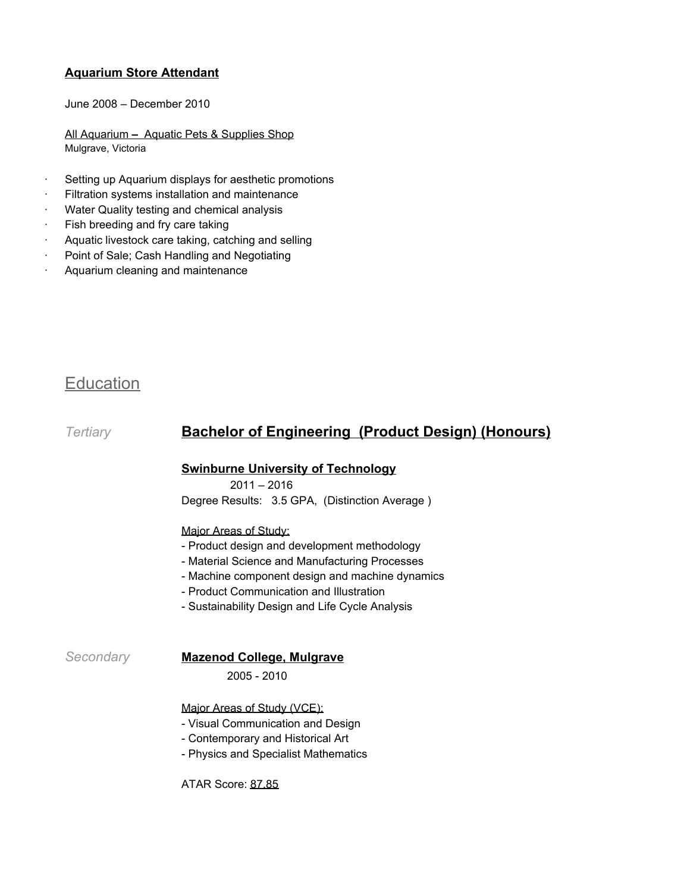### **Aquarium Store Attendant**

June 2008 – December 2010

All Aquarium **–** Aquatic Pets & Supplies Shop Mulgrave, Victoria

- Setting up Aquarium displays for aesthetic promotions
- Filtration systems installation and maintenance
- Water Quality testing and chemical analysis
- Fish breeding and fry care taking
- · Aquatic livestock care taking, catching and selling
- Point of Sale; Cash Handling and Negotiating
- Aquarium cleaning and maintenance

# **Education**

## *Tertiary* **Bachelor of Engineering (Product Design) (Honours)**

### **Swinburne University of Technology**

 $2011 - 2016$ 

Degree Results: 3.5 GPA, (Distinction Average )

### Major Areas of Study:

- Product design and development methodology
- Material Science and Manufacturing Processes
- Machine component design and machine dynamics
- Product Communication and Illustration
- Sustainability Design and Life Cycle Analysis

### *Secondary* **Mazenod College, Mulgrave**

2005 - 2010

Major Areas of Study (VCE):

- Visual Communication and Design
- Contemporary and Historical Art
- Physics and Specialist Mathematics

ATAR Score: 87.85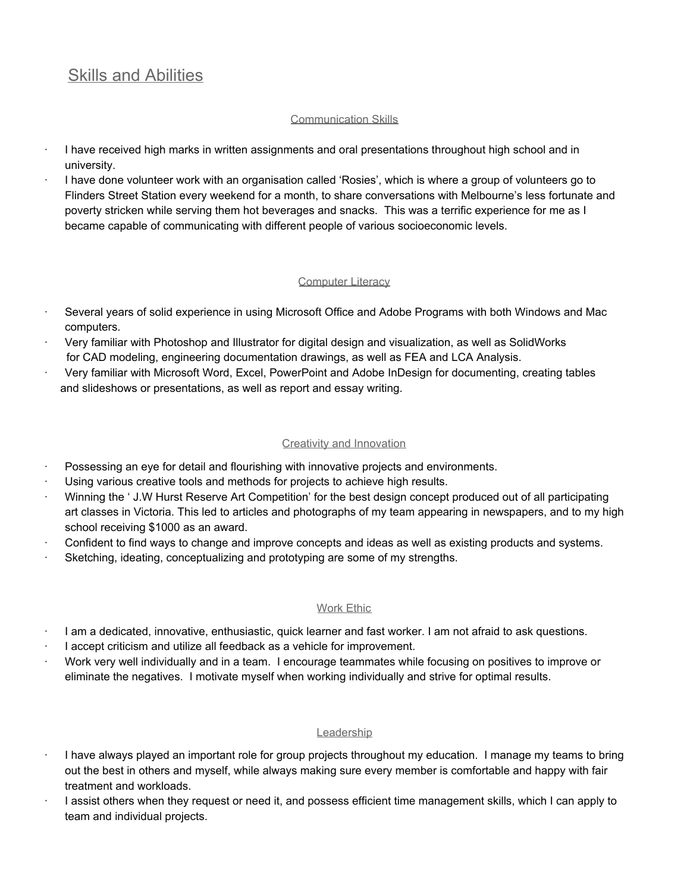# Skills and Abilities

### Communication Skills

- · I have received high marks in written assignments and oral presentations throughout high school and in university.
- · I have done volunteer work with an organisation called 'Rosies', which is where a group of volunteers go to Flinders Street Station every weekend for a month, to share conversations with Melbourne's less fortunate and poverty stricken while serving them hot beverages and snacks. This was a terrific experience for me as I became capable of communicating with different people of various socioeconomic levels.

### **Computer Literacy**

- Several years of solid experience in using Microsoft Office and Adobe Programs with both Windows and Mac computers.
- · Very familiar with Photoshop and Illustrator for digital design and visualization, as well as SolidWorks for CAD modeling, engineering documentation drawings, as well as FEA and LCA Analysis.
- · Very familiar with Microsoft Word, Excel, PowerPoint and Adobe InDesign for documenting, creating tables and slideshows or presentations, as well as report and essay writing.

### Creativity and Innovation

- Possessing an eye for detail and flourishing with innovative projects and environments.
- Using various creative tools and methods for projects to achieve high results.
- · Winning the ' J.W Hurst Reserve Art Competition' for the best design concept produced out of all participating art classes in Victoria. This led to articles and photographs of my team appearing in newspapers, and to my high school receiving \$1000 as an award.
- Confident to find ways to change and improve concepts and ideas as well as existing products and systems.
- Sketching, ideating, conceptualizing and prototyping are some of my strengths.

### Work Ethic

- · I am a dedicated, innovative, enthusiastic, quick learner and fast worker. I am not afraid to ask questions.
- I accept criticism and utilize all feedback as a vehicle for improvement.
- · Work very well individually and in a team. I encourage teammates while focusing on positives to improve or eliminate the negatives. I motivate myself when working individually and strive for optimal results.

### **Leadership**

- · I have always played an important role for group projects throughout my education. I manage my teams to bring out the best in others and myself, while always making sure every member is comfortable and happy with fair treatment and workloads.
- · I assist others when they request or need it, and possess efficient time management skills, which I can apply to team and individual projects.